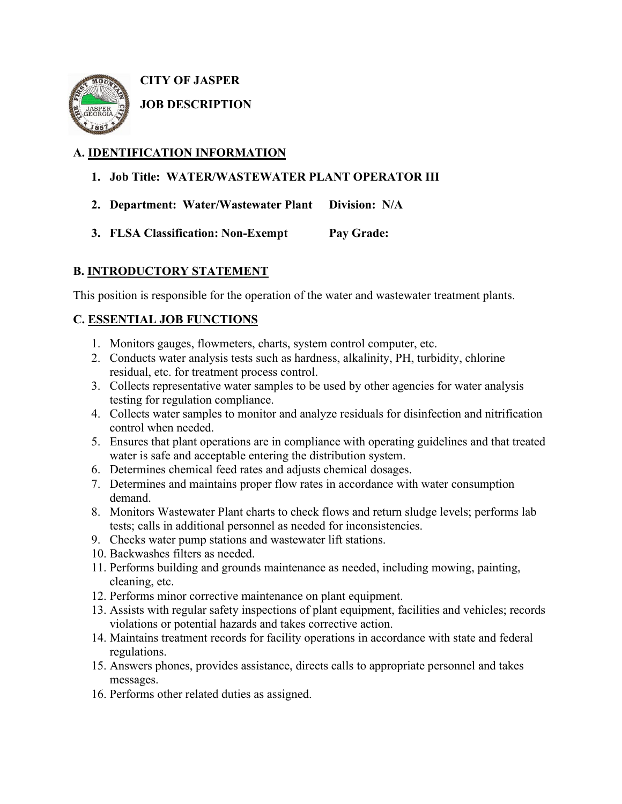

**CITY OF JASPER**

**JOB DESCRIPTION**

# **A. IDENTIFICATION INFORMATION**

### **1. Job Title: WATER/WASTEWATER PLANT OPERATOR III**

- **2. Department: Water/Wastewater Plant Division: N/A**
- **3. FLSA Classification: Non-Exempt Pay Grade:**

## **B. INTRODUCTORY STATEMENT**

This position is responsible for the operation of the water and wastewater treatment plants.

### **C. ESSENTIAL JOB FUNCTIONS**

- 1. Monitors gauges, flowmeters, charts, system control computer, etc.
- 2. Conducts water analysis tests such as hardness, alkalinity, PH, turbidity, chlorine residual, etc. for treatment process control.
- 3. Collects representative water samples to be used by other agencies for water analysis testing for regulation compliance.
- 4. Collects water samples to monitor and analyze residuals for disinfection and nitrification control when needed.
- 5. Ensures that plant operations are in compliance with operating guidelines and that treated water is safe and acceptable entering the distribution system.
- 6. Determines chemical feed rates and adjusts chemical dosages.
- 7. Determines and maintains proper flow rates in accordance with water consumption demand.
- 8. Monitors Wastewater Plant charts to check flows and return sludge levels; performs lab tests; calls in additional personnel as needed for inconsistencies.
- 9. Checks water pump stations and wastewater lift stations.
- 10. Backwashes filters as needed.
- 11. Performs building and grounds maintenance as needed, including mowing, painting, cleaning, etc.
- 12. Performs minor corrective maintenance on plant equipment.
- 13. Assists with regular safety inspections of plant equipment, facilities and vehicles; records violations or potential hazards and takes corrective action.
- 14. Maintains treatment records for facility operations in accordance with state and federal regulations.
- 15. Answers phones, provides assistance, directs calls to appropriate personnel and takes messages.
- 16. Performs other related duties as assigned.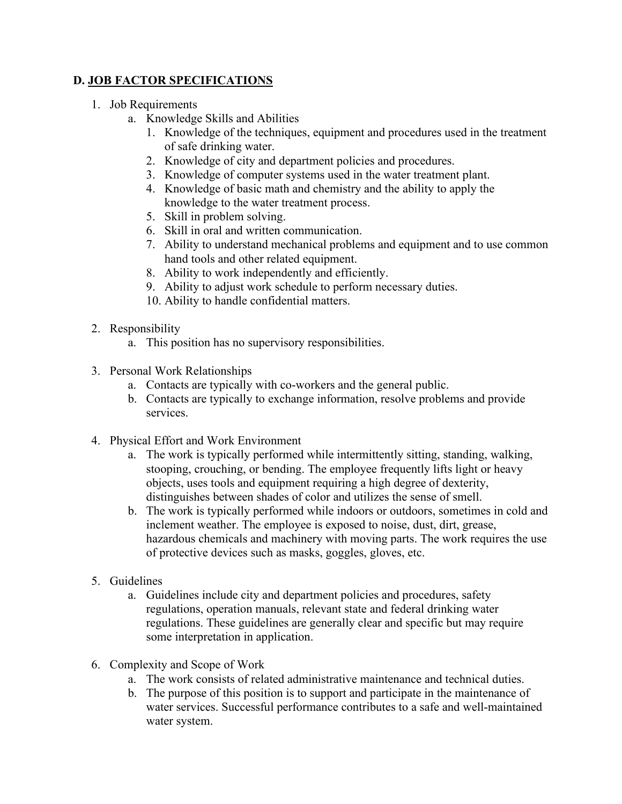#### **D. JOB FACTOR SPECIFICATIONS**

- 1. Job Requirements
	- a. Knowledge Skills and Abilities
		- 1. Knowledge of the techniques, equipment and procedures used in the treatment of safe drinking water.
		- 2. Knowledge of city and department policies and procedures.
		- 3. Knowledge of computer systems used in the water treatment plant.
		- 4. Knowledge of basic math and chemistry and the ability to apply the knowledge to the water treatment process.
		- 5. Skill in problem solving.
		- 6. Skill in oral and written communication.
		- 7. Ability to understand mechanical problems and equipment and to use common hand tools and other related equipment.
		- 8. Ability to work independently and efficiently.
		- 9. Ability to adjust work schedule to perform necessary duties.
		- 10. Ability to handle confidential matters.
- 2. Responsibility
	- a. This position has no supervisory responsibilities.
- 3. Personal Work Relationships
	- a. Contacts are typically with co-workers and the general public.
	- b. Contacts are typically to exchange information, resolve problems and provide services.
- 4. Physical Effort and Work Environment
	- a. The work is typically performed while intermittently sitting, standing, walking, stooping, crouching, or bending. The employee frequently lifts light or heavy objects, uses tools and equipment requiring a high degree of dexterity, distinguishes between shades of color and utilizes the sense of smell.
	- b. The work is typically performed while indoors or outdoors, sometimes in cold and inclement weather. The employee is exposed to noise, dust, dirt, grease, hazardous chemicals and machinery with moving parts. The work requires the use of protective devices such as masks, goggles, gloves, etc.
- 5. Guidelines
	- a. Guidelines include city and department policies and procedures, safety regulations, operation manuals, relevant state and federal drinking water regulations. These guidelines are generally clear and specific but may require some interpretation in application.
- 6. Complexity and Scope of Work
	- a. The work consists of related administrative maintenance and technical duties.
	- b. The purpose of this position is to support and participate in the maintenance of water services. Successful performance contributes to a safe and well-maintained water system.